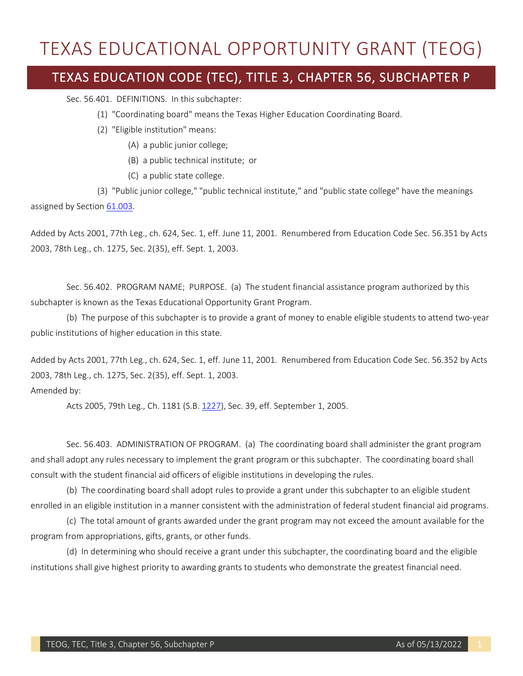## TEXAS EDUCATIONAL OPPORTUNITY GRANT (TEOG) TEXAS EDUCATION CODE (TEC), TITLE 3, CHAPTER 56, SUBCHAPTER P

Sec. 56.401. DEFINITIONS. In this subchapter:

- (1) "Coordinating board" means the Texas Higher Education Coordinating Board.
- (2) "Eligible institution" means:
	- (A) a public junior college;
	- (B) a public technical institute; or
	- (C) a public state college.

(3) "Public junior college," "public technical institute," and "public state college" have the meanings assigned by Sectio[n 61.003.](http://www.statutes.legis.state.tx.us/GetStatute.aspx?Code=ED&Value=61.003)

Added by Acts 2001, 77th Leg., ch. 624, Sec. 1, eff. June 11, 2001. Renumbered from Education Code Sec. 56.351 by Acts 2003, 78th Leg., ch. 1275, Sec. 2(35), eff. Sept. 1, 2003.

 Sec. 56.402. PROGRAM NAME; PURPOSE. (a) The student financial assistance program authorized by this subchapter is known as the Texas Educational Opportunity Grant Program.

 (b) The purpose of this subchapter is to provide a grant of money to enable eligible students to attend two-year public institutions of higher education in this state.

Added by Acts 2001, 77th Leg., ch. 624, Sec. 1, eff. June 11, 2001. Renumbered from Education Code Sec. 56.352 by Acts 2003, 78th Leg., ch. 1275, Sec. 2(35), eff. Sept. 1, 2003.

## Amended by:

Acts 2005, 79th Leg., Ch. 1181 (S.B. [1227\)](http://www.legis.state.tx.us/tlodocs/79R/billtext/html/SB01227F.HTM), Sec. 39, eff. September 1, 2005.

 consult with the student financial aid officers of eligible institutions in developing the rules. Sec. 56.403. ADMINISTRATION OF PROGRAM. (a) The coordinating board shall administer the grant program and shall adopt any rules necessary to implement the grant program or this subchapter. The coordinating board shall

 (b) The coordinating board shall adopt rules to provide a grant under this subchapter to an eligible student enrolled in an eligible institution in a manner consistent with the administration of federal student financial aid programs.

 (c) The total amount of grants awarded under the grant program may not exceed the amount available for the program from appropriations, gifts, grants, or other funds.

 (d) In determining who should receive a grant under this subchapter, the coordinating board and the eligible institutions shall give highest priority to awarding grants to students who demonstrate the greatest financial need.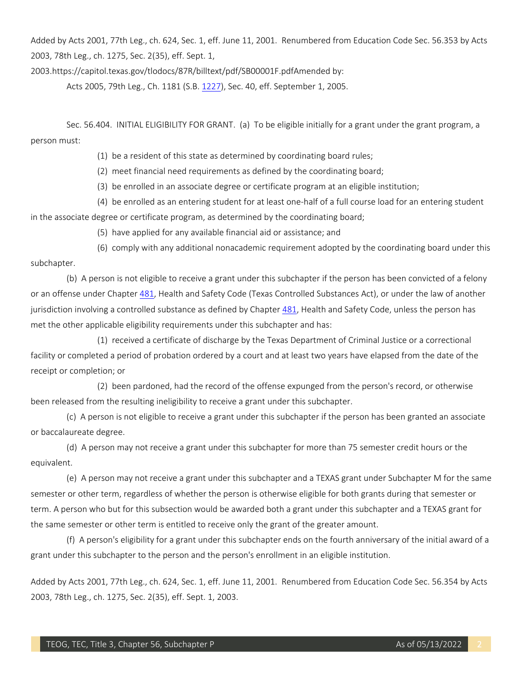Added by Acts 2001, 77th Leg., ch. 624, Sec. 1, eff. June 11, 2001. Renumbered from Education Code Sec. 56.353 by Acts 2003, 78th Leg., ch. 1275, Sec. 2(35), eff. Sept. 1,

[2003.https://capitol.texas.gov/tlodocs/87R/billtext/pdf/SB00001F.pdfAmended](https://2003.https://capitol.texas.gov/tlodocs/87R/billtext/pdf/SB00001F.pdfAmended) by:

Acts 2005, 79th Leg., Ch. 1181 (S.B. [1227\)](http://www.legis.state.tx.us/tlodocs/79R/billtext/html/SB01227F.HTM), Sec. 40, eff. September 1, 2005.

 Sec. 56.404. INITIAL ELIGIBILITY FOR GRANT. (a) To be eligible initially for a grant under the grant program, a person must:

(1) be a resident of this state as determined by coordinating board rules;

(2) meet financial need requirements as defined by the coordinating board;

(3) be enrolled in an associate degree or certificate program at an eligible institution;

 (4) be enrolled as an entering student for at least one-half of a full course load for an entering student in the associate degree or certificate program, as determined by the coordinating board;

(5) have applied for any available financial aid or assistance; and

(6) comply with any additional nonacademic requirement adopted by the coordinating board under this subchapter.

 (b) A person is not eligible to receive a grant under this subchapter if the person has been convicted of a felony or an offense under Chapte[r 481,](http://www.statutes.legis.state.tx.us/GetStatute.aspx?Code=HS&Value=481) Health and Safety Code (Texas Controlled Substances Act), or under the law of another met the other applicable eligibility requirements under this subchapter and has: jurisdiction involving a controlled substance as defined by Chapter [481,](http://www.statutes.legis.state.tx.us/GetStatute.aspx?Code=HS&Value=481) Health and Safety Code, unless the person has

 facility or completed a period of probation ordered by a court and at least two years have elapsed from the date of the (1) received a certificate of discharge by the Texas Department of Criminal Justice or a correctional receipt or completion; or

(2) been pardoned, had the record of the offense expunged from the person's record, or otherwise been released from the resulting ineligibility to receive a grant under this subchapter.

 (c) A person is not eligible to receive a grant under this subchapter if the person has been granted an associate or baccalaureate degree.

 (d) A person may not receive a grant under this subchapter for more than 75 semester credit hours or the equivalent.

 (e) A person may not receive a grant under this subchapter and a TEXAS grant under Subchapter M for the same semester or other term, regardless of whether the person is otherwise eligible for both grants during that semester or term. A person who but for this subsection would be awarded both a grant under this subchapter and a TEXAS grant for the same semester or other term is entitled to receive only the grant of the greater amount.

 grant under this subchapter to the person and the person's enrollment in an eligible institution. (f) A person's eligibility for a grant under this subchapter ends on the fourth anniversary of the initial award of a

Added by Acts 2001, 77th Leg., ch. 624, Sec. 1, eff. June 11, 2001. Renumbered from Education Code Sec. 56.354 by Acts 2003, 78th Leg., ch. 1275, Sec. 2(35), eff. Sept. 1, 2003.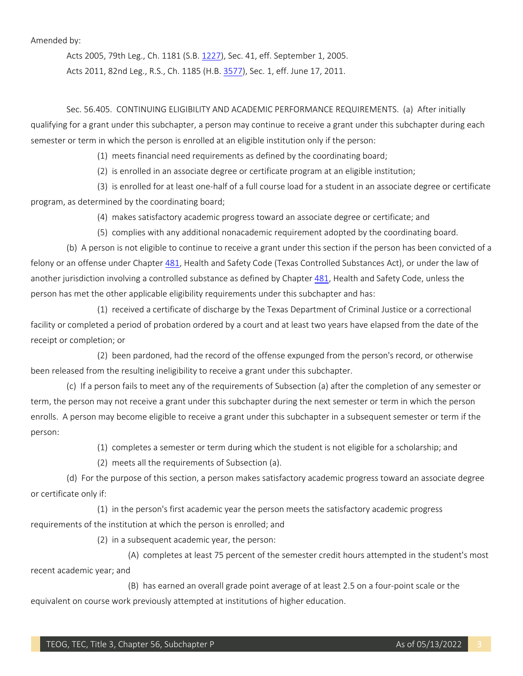Amended by:

Acts 2005, 79th Leg., Ch. 1181 (S.B. [1227\)](http://www.legis.state.tx.us/tlodocs/79R/billtext/html/SB01227F.HTM), Sec. 41, eff. September 1, 2005. Acts 2011, 82nd Leg., R.S., Ch. 1185 (H.B[. 3577\)](http://www.legis.state.tx.us/tlodocs/82R/billtext/html/HB03577F.HTM), Sec. 1, eff. June 17, 2011.

 Sec. 56.405. CONTINUING ELIGIBILITY AND ACADEMIC PERFORMANCE REQUIREMENTS. (a) After initially qualifying for a grant under this subchapter, a person may continue to receive a grant under this subchapter during each semester or term in which the person is enrolled at an eligible institution only if the person:

(1) meets financial need requirements as defined by the coordinating board;

(2) is enrolled in an associate degree or certificate program at an eligible institution;

(3) is enrolled for at least one-half of a full course load for a student in an associate degree or certificate program, as determined by the coordinating board;

(4) makes satisfactory academic progress toward an associate degree or certificate; and

(5) complies with any additional nonacademic requirement adopted by the coordinating board.

 (b) A person is not eligible to continue to receive a grant under this section if the person has been convicted of a felony or an offense under Chapte[r 481,](http://www.statutes.legis.state.tx.us/GetStatute.aspx?Code=HS&Value=481) Health and Safety Code (Texas Controlled Substances Act), or under the law of another jurisdiction involving a controlled substance as defined by Chapter [481,](http://www.statutes.legis.state.tx.us/GetStatute.aspx?Code=HS&Value=481) Health and Safety Code, unless the person has met the other applicable eligibility requirements under this subchapter and has:

 facility or completed a period of probation ordered by a court and at least two years have elapsed from the date of the (1) received a certificate of discharge by the Texas Department of Criminal Justice or a correctional receipt or completion; or

(2) been pardoned, had the record of the offense expunged from the person's record, or otherwise been released from the resulting ineligibility to receive a grant under this subchapter.

 (c) If a person fails to meet any of the requirements of Subsection (a) after the completion of any semester or term, the person may not receive a grant under this subchapter during the next semester or term in which the person enrolls. A person may become eligible to receive a grant under this subchapter in a subsequent semester or term if the person:

(1) completes a semester or term during which the student is not eligible for a scholarship; and

(2) meets all the requirements of Subsection (a).

(d) For the purpose of this section, a person makes satisfactory academic progress toward an associate degree or certificate only if:

(1) in the person's first academic year the person meets the satisfactory academic progress requirements of the institution at which the person is enrolled; and

(2) in a subsequent academic year, the person:

(A) completes at least 75 percent of the semester credit hours attempted in the student's most recent academic year; and

 (B) has earned an overall grade point average of at least 2.5 on a four-point scale or the equivalent on course work previously attempted at institutions of higher education.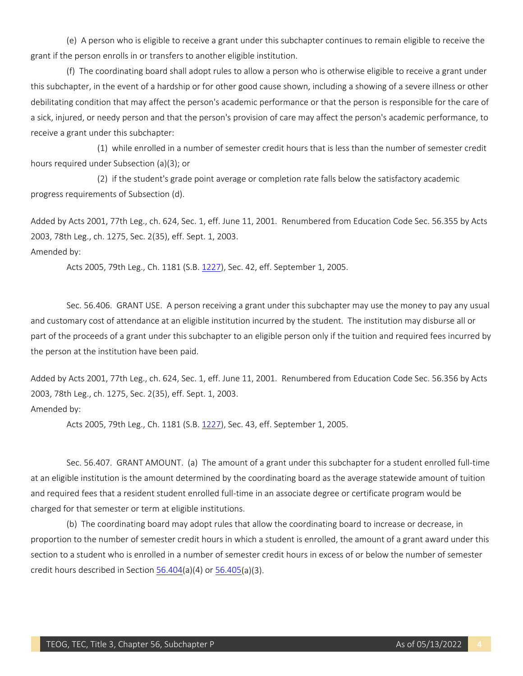(e) A person who is eligible to receive a grant under this subchapter continues to remain eligible to receive the grant if the person enrolls in or transfers to another eligible institution.

 (f) The coordinating board shall adopt rules to allow a person who is otherwise eligible to receive a grant under this subchapter, in the event of a hardship or for other good cause shown, including a showing of a severe illness or other a sick, injured, or needy person and that the person's provision of care may affect the person's academic performance, to debilitating condition that may affect the person's academic performance or that the person is responsible for the care of receive a grant under this subchapter:

(1) while enrolled in a number of semester credit hours that is less than the number of semester credit hours required under Subsection (a)(3); or

 (2) if the student's grade point average or completion rate falls below the satisfactory academic progress requirements of Subsection (d).

Added by Acts 2001, 77th Leg., ch. 624, Sec. 1, eff. June 11, 2001. Renumbered from Education Code Sec. 56.355 by Acts 2003, 78th Leg., ch. 1275, Sec. 2(35), eff. Sept. 1, 2003.

Amended by:

Acts 2005, 79th Leg., Ch. 1181 (S.B. [1227\)](http://www.legis.state.tx.us/tlodocs/79R/billtext/html/SB01227F.HTM), Sec. 42, eff. September 1, 2005.

 Sec. 56.406. GRANT USE. A person receiving a grant under this subchapter may use the money to pay any usual and customary cost of attendance at an eligible institution incurred by the student. The institution may disburse all or part of the proceeds of a grant under this subchapter to an eligible person only if the tuition and required fees incurred by the person at the institution have been paid.

Added by Acts 2001, 77th Leg., ch. 624, Sec. 1, eff. June 11, 2001. Renumbered from Education Code Sec. 56.356 by Acts 2003, 78th Leg., ch. 1275, Sec. 2(35), eff. Sept. 1, 2003. Amended by:

Acts 2005, 79th Leg., Ch. 1181 (S.B. [1227\)](http://www.legis.state.tx.us/tlodocs/79R/billtext/html/SB01227F.HTM), Sec. 43, eff. September 1, 2005.

 Sec. 56.407. GRANT AMOUNT. (a) The amount of a grant under this subchapter for a student enrolled full-time at an eligible institution is the amount determined by the coordinating board as the average statewide amount of tuition and required fees that a resident student enrolled full-time in an associate degree or certificate program would be charged for that semester or term at eligible institutions.

 (b) The coordinating board may adopt rules that allow the coordinating board to increase or decrease, in proportion to the number of semester credit hours in which a student is enrolled, the amount of a grant award under this section to a student who is enrolled in a number of semester credit hours in excess of or below the number of semester credit hours described in Section  $56.404(a)(4)$  or  $56.405(a)(3)$ .